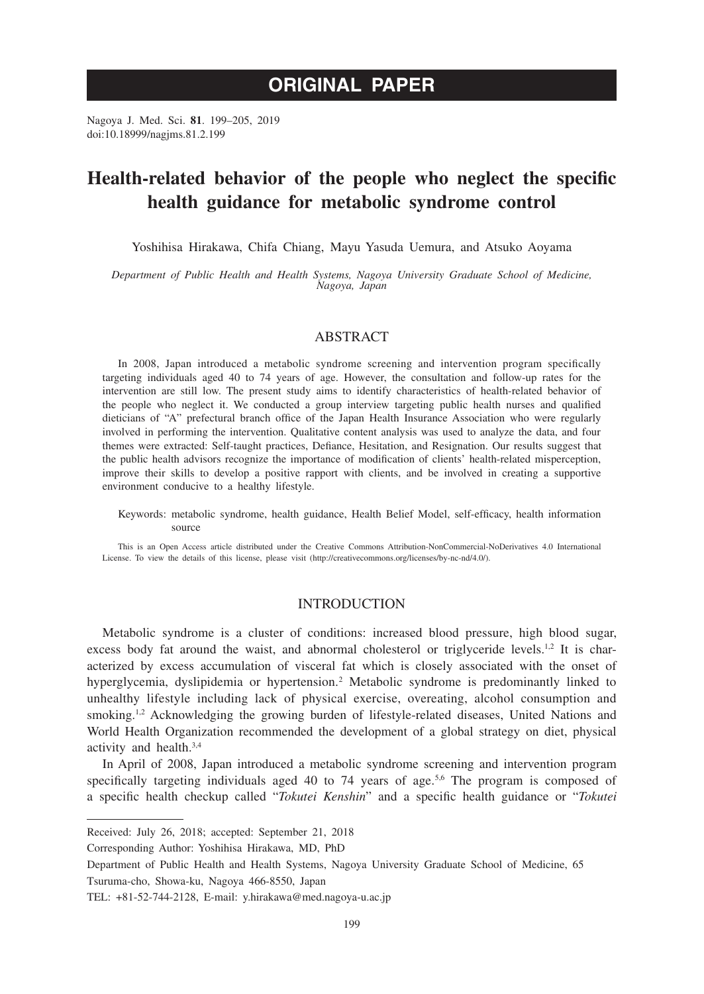# **ORIGINAL PAPER**

Nagoya J. Med. Sci. **81**. 199–205, 2019 doi:10.18999/nagjms.81.2.199

# **Health-related behavior of the people who neglect the specific health guidance for metabolic syndrome control**

Yoshihisa Hirakawa, Chifa Chiang, Mayu Yasuda Uemura, and Atsuko Aoyama

*Department of Public Health and Health Systems, Nagoya University Graduate School of Medicine, Nagoya, Japan*

#### ABSTRACT

In 2008, Japan introduced a metabolic syndrome screening and intervention program specifically targeting individuals aged 40 to 74 years of age. However, the consultation and follow-up rates for the intervention are still low. The present study aims to identify characteristics of health-related behavior of the people who neglect it. We conducted a group interview targeting public health nurses and qualified dieticians of "A" prefectural branch office of the Japan Health Insurance Association who were regularly involved in performing the intervention. Qualitative content analysis was used to analyze the data, and four themes were extracted: Self-taught practices, Defiance, Hesitation, and Resignation. Our results suggest that the public health advisors recognize the importance of modification of clients' health-related misperception, improve their skills to develop a positive rapport with clients, and be involved in creating a supportive environment conducive to a healthy lifestyle.

Keywords: metabolic syndrome, health guidance, Health Belief Model, self-efficacy, health information source

This is an Open Access article distributed under the Creative Commons Attribution-NonCommercial-NoDerivatives 4.0 International License. To view the details of this license, please visit (http://creativecommons.org/licenses/by-nc-nd/4.0/).

## **INTRODUCTION**

Metabolic syndrome is a cluster of conditions: increased blood pressure, high blood sugar, excess body fat around the waist, and abnormal cholesterol or triglyceride levels.<sup>1,2</sup> It is characterized by excess accumulation of visceral fat which is closely associated with the onset of hyperglycemia, dyslipidemia or hypertension.<sup>2</sup> Metabolic syndrome is predominantly linked to unhealthy lifestyle including lack of physical exercise, overeating, alcohol consumption and smoking.<sup>1,2</sup> Acknowledging the growing burden of lifestyle-related diseases, United Nations and World Health Organization recommended the development of a global strategy on diet, physical activity and health.3,4

In April of 2008, Japan introduced a metabolic syndrome screening and intervention program specifically targeting individuals aged 40 to 74 years of age.<sup>5,6</sup> The program is composed of a specific health checkup called "*Tokutei Kenshin*" and a specific health guidance or "*Tokutei* 

Received: July 26, 2018; accepted: September 21, 2018

Corresponding Author: Yoshihisa Hirakawa, MD, PhD

Department of Public Health and Health Systems, Nagoya University Graduate School of Medicine, 65 Tsuruma-cho, Showa-ku, Nagoya 466-8550, Japan

TEL: +81-52-744-2128, E-mail: y.hirakawa@med.nagoya-u.ac.jp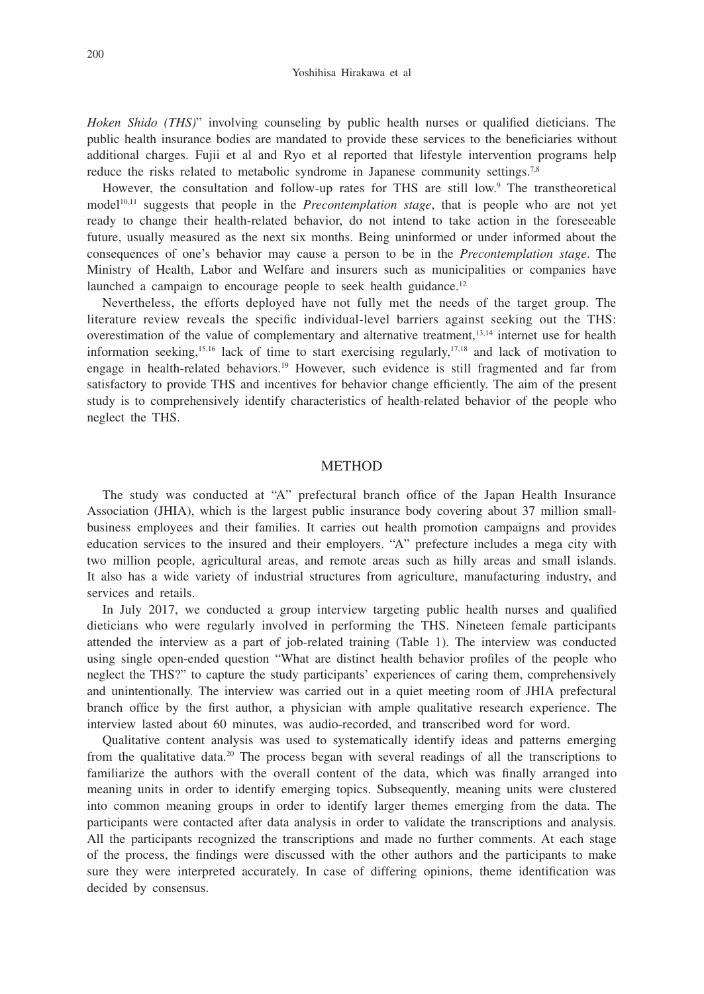*Hoken Shido (THS)*" involving counseling by public health nurses or qualified dieticians. The public health insurance bodies are mandated to provide these services to the beneficiaries without additional charges. Fujii et al and Ryo et al reported that lifestyle intervention programs help reduce the risks related to metabolic syndrome in Japanese community settings.<sup>7,8</sup>

However, the consultation and follow-up rates for THS are still low.<sup>9</sup> The transtheoretical model<sup>10,11</sup> suggests that people in the *Precontemplation stage*, that is people who are not yet ready to change their health-related behavior, do not intend to take action in the foreseeable future, usually measured as the next six months. Being uninformed or under informed about the consequences of one's behavior may cause a person to be in the *Precontemplation stage*. The Ministry of Health, Labor and Welfare and insurers such as municipalities or companies have launched a campaign to encourage people to seek health guidance.<sup>12</sup>

Nevertheless, the efforts deployed have not fully met the needs of the target group. The literature review reveals the specific individual-level barriers against seeking out the THS: overestimation of the value of complementary and alternative treatment,<sup>13,14</sup> internet use for health information seeking,<sup>15,16</sup> lack of time to start exercising regularly,<sup>17,18</sup> and lack of motivation to engage in health-related behaviors.<sup>19</sup> However, such evidence is still fragmented and far from satisfactory to provide THS and incentives for behavior change efficiently. The aim of the present study is to comprehensively identify characteristics of health-related behavior of the people who neglect the THS.

#### **METHOD**

The study was conducted at "A" prefectural branch office of the Japan Health Insurance Association (JHIA), which is the largest public insurance body covering about 37 million smallbusiness employees and their families. It carries out health promotion campaigns and provides education services to the insured and their employers. "A" prefecture includes a mega city with two million people, agricultural areas, and remote areas such as hilly areas and small islands. It also has a wide variety of industrial structures from agriculture, manufacturing industry, and services and retails.

In July 2017, we conducted a group interview targeting public health nurses and qualified dieticians who were regularly involved in performing the THS. Nineteen female participants attended the interview as a part of job-related training (Table 1). The interview was conducted using single open-ended question "What are distinct health behavior profiles of the people who neglect the THS?" to capture the study participants' experiences of caring them, comprehensively and unintentionally. The interview was carried out in a quiet meeting room of JHIA prefectural branch office by the first author, a physician with ample qualitative research experience. The interview lasted about 60 minutes, was audio-recorded, and transcribed word for word.

Qualitative content analysis was used to systematically identify ideas and patterns emerging from the qualitative data.<sup>20</sup> The process began with several readings of all the transcriptions to familiarize the authors with the overall content of the data, which was finally arranged into meaning units in order to identify emerging topics. Subsequently, meaning units were clustered into common meaning groups in order to identify larger themes emerging from the data. The participants were contacted after data analysis in order to validate the transcriptions and analysis. All the participants recognized the transcriptions and made no further comments. At each stage of the process, the findings were discussed with the other authors and the participants to make sure they were interpreted accurately. In case of differing opinions, theme identification was decided by consensus.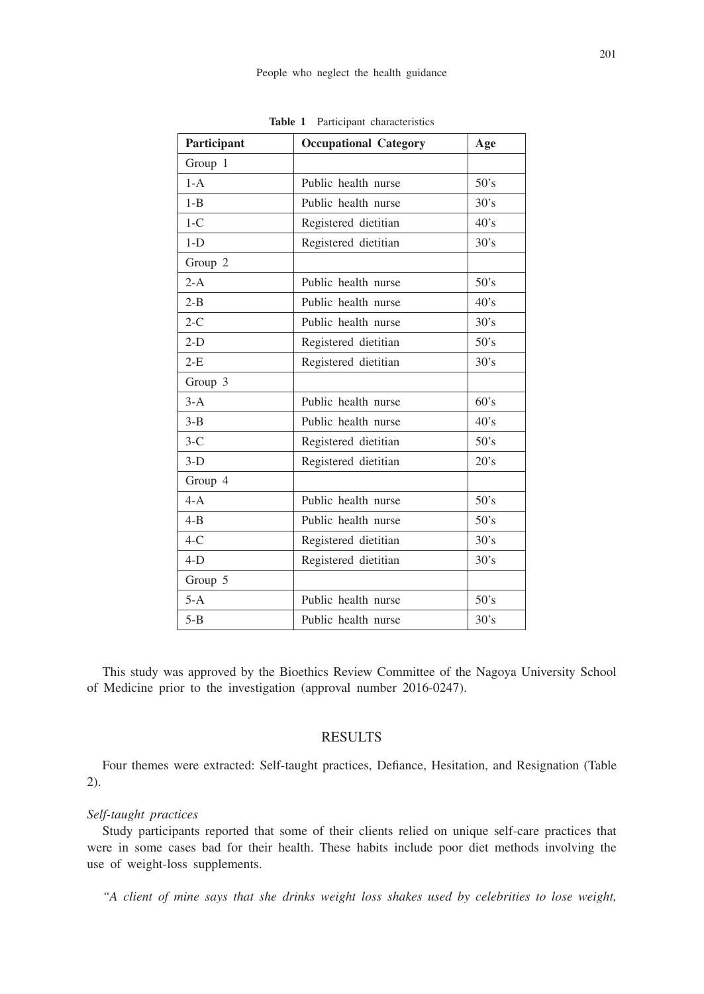| Participant | <b>Occupational Category</b> | Age  |
|-------------|------------------------------|------|
| Group 1     |                              |      |
| $1 - A$     | Public health nurse          | 50's |
| $1 - B$     | Public health nurse          | 30's |
| $1-C$       | 40's<br>Registered dietitian |      |
| $1-D$       | Registered dietitian<br>30's |      |
| Group 2     |                              |      |
| $2-A$       | Public health nurse<br>50's  |      |
| $2 - B$     | Public health nurse<br>40's  |      |
| $2-C$       | 30's<br>Public health nurse  |      |
| $2-D$       | 50's<br>Registered dietitian |      |
| $2-E$       | 30's<br>Registered dietitian |      |
| Group 3     |                              |      |
| $3-A$       | 60's<br>Public health nurse  |      |
| $3 - B$     | Public health nurse<br>40's  |      |
| $3-C$       | 50's<br>Registered dietitian |      |
| $3-D$       | 20's<br>Registered dietitian |      |
| Group 4     |                              |      |
| $4 - A$     | Public health nurse<br>50's  |      |
| $4 - B$     | Public health nurse<br>50's  |      |
| $4-C$       | Registered dietitian         | 30's |
| $4-D$       | Registered dietitian         | 30's |
| Group 5     |                              |      |
| $5-A$       | Public health nurse          | 50's |
| $5 - B$     | Public health nurse          | 30's |

**Table 1** Participant characteristics

This study was approved by the Bioethics Review Committee of the Nagoya University School of Medicine prior to the investigation (approval number 2016-0247).

## **RESULTS**

Four themes were extracted: Self-taught practices, Defiance, Hesitation, and Resignation (Table 2).

#### *Self-taught practices*

Study participants reported that some of their clients relied on unique self-care practices that were in some cases bad for their health. These habits include poor diet methods involving the use of weight-loss supplements.

*"A client of mine says that she drinks weight loss shakes used by celebrities to lose weight,*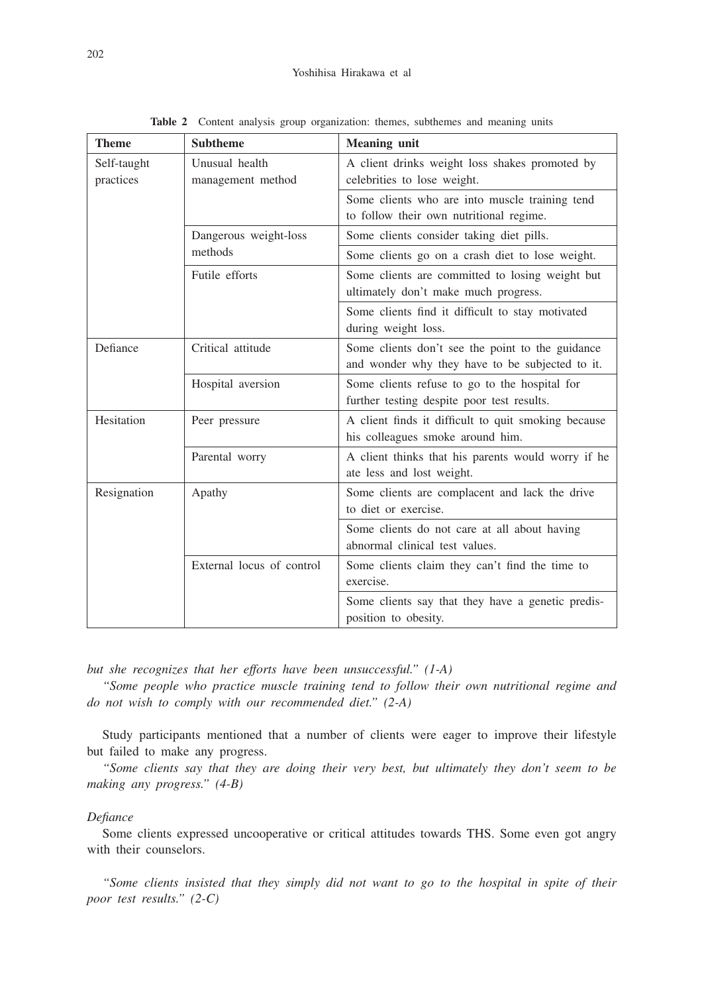| <b>Theme</b>             | <b>Subtheme</b>                     | <b>Meaning unit</b>                                                                                 |
|--------------------------|-------------------------------------|-----------------------------------------------------------------------------------------------------|
| Self-taught<br>practices | Unusual health<br>management method | A client drinks weight loss shakes promoted by<br>celebrities to lose weight.                       |
|                          |                                     | Some clients who are into muscle training tend<br>to follow their own nutritional regime.           |
|                          | Dangerous weight-loss<br>methods    | Some clients consider taking diet pills.                                                            |
|                          |                                     | Some clients go on a crash diet to lose weight.                                                     |
|                          | Futile efforts                      | Some clients are committed to losing weight but<br>ultimately don't make much progress.             |
|                          |                                     | Some clients find it difficult to stay motivated<br>during weight loss.                             |
| Defiance                 | Critical attitude                   | Some clients don't see the point to the guidance<br>and wonder why they have to be subjected to it. |
|                          | Hospital aversion                   | Some clients refuse to go to the hospital for<br>further testing despite poor test results.         |
| Hesitation               | Peer pressure                       | A client finds it difficult to quit smoking because<br>his colleagues smoke around him.             |
|                          | Parental worry                      | A client thinks that his parents would worry if he<br>ate less and lost weight.                     |
| Resignation              | Apathy                              | Some clients are complacent and lack the drive<br>to diet or exercise.                              |
|                          |                                     | Some clients do not care at all about having<br>abnormal clinical test values.                      |
|                          | External locus of control           | Some clients claim they can't find the time to<br>exercise.                                         |
|                          |                                     | Some clients say that they have a genetic predis-<br>position to obesity.                           |

**Table 2** Content analysis group organization: themes, subthemes and meaning units

*but she recognizes that her efforts have been unsuccessful." (1-A)*

*"Some people who practice muscle training tend to follow their own nutritional regime and do not wish to comply with our recommended diet." (2-A)*

Study participants mentioned that a number of clients were eager to improve their lifestyle but failed to make any progress.

*"Some clients say that they are doing their very best, but ultimately they don't seem to be making any progress." (4-B)*

### *Defiance*

Some clients expressed uncooperative or critical attitudes towards THS. Some even got angry with their counselors.

*"Some clients insisted that they simply did not want to go to the hospital in spite of their poor test results." (2-C)*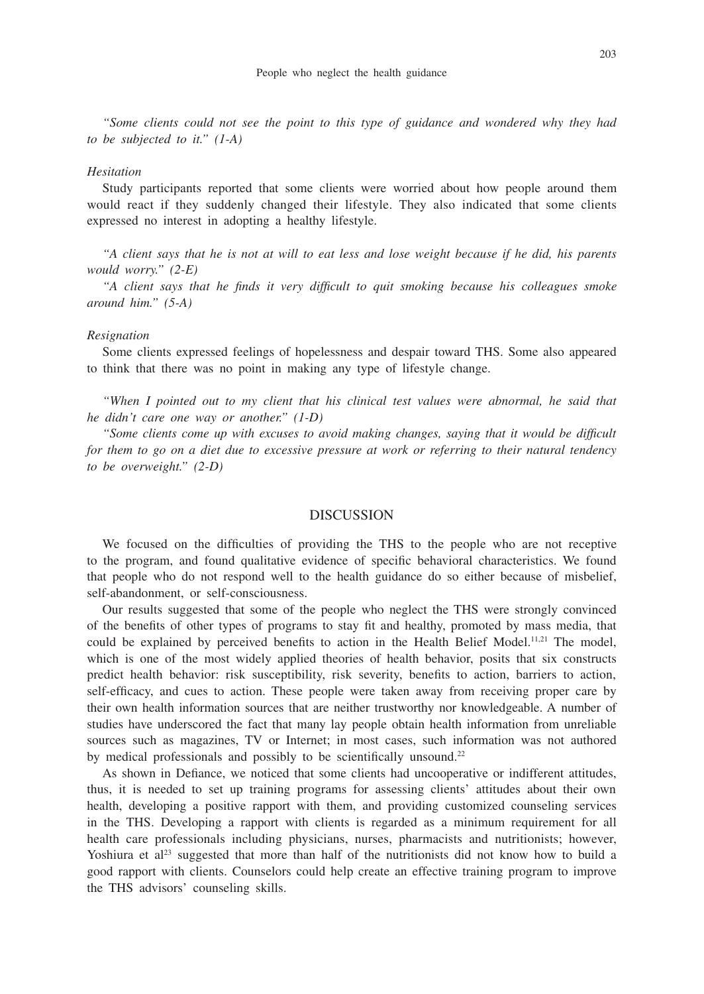*"Some clients could not see the point to this type of guidance and wondered why they had to be subjected to it." (1-A)*

### *Hesitation*

Study participants reported that some clients were worried about how people around them would react if they suddenly changed their lifestyle. They also indicated that some clients expressed no interest in adopting a healthy lifestyle.

*"A client says that he is not at will to eat less and lose weight because if he did, his parents would worry." (2-E)*

*"A client says that he finds it very difficult to quit smoking because his colleagues smoke around him." (5-A)*

#### *Resignation*

Some clients expressed feelings of hopelessness and despair toward THS. Some also appeared to think that there was no point in making any type of lifestyle change.

*"When I pointed out to my client that his clinical test values were abnormal, he said that he didn't care one way or another." (1-D)*

*"Some clients come up with excuses to avoid making changes, saying that it would be difficult for them to go on a diet due to excessive pressure at work or referring to their natural tendency to be overweight." (2-D)*

### DISCUSSION

We focused on the difficulties of providing the THS to the people who are not receptive to the program, and found qualitative evidence of specific behavioral characteristics. We found that people who do not respond well to the health guidance do so either because of misbelief, self-abandonment, or self-consciousness.

Our results suggested that some of the people who neglect the THS were strongly convinced of the benefits of other types of programs to stay fit and healthy, promoted by mass media, that could be explained by perceived benefits to action in the Health Belief Model.<sup>11,21</sup> The model, which is one of the most widely applied theories of health behavior, posits that six constructs predict health behavior: risk susceptibility, risk severity, benefits to action, barriers to action, self-efficacy, and cues to action. These people were taken away from receiving proper care by their own health information sources that are neither trustworthy nor knowledgeable. A number of studies have underscored the fact that many lay people obtain health information from unreliable sources such as magazines, TV or Internet; in most cases, such information was not authored by medical professionals and possibly to be scientifically unsound.<sup>22</sup>

As shown in Defiance, we noticed that some clients had uncooperative or indifferent attitudes, thus, it is needed to set up training programs for assessing clients' attitudes about their own health, developing a positive rapport with them, and providing customized counseling services in the THS. Developing a rapport with clients is regarded as a minimum requirement for all health care professionals including physicians, nurses, pharmacists and nutritionists; however, Yoshiura et al<sup>23</sup> suggested that more than half of the nutritionists did not know how to build a good rapport with clients. Counselors could help create an effective training program to improve the THS advisors' counseling skills.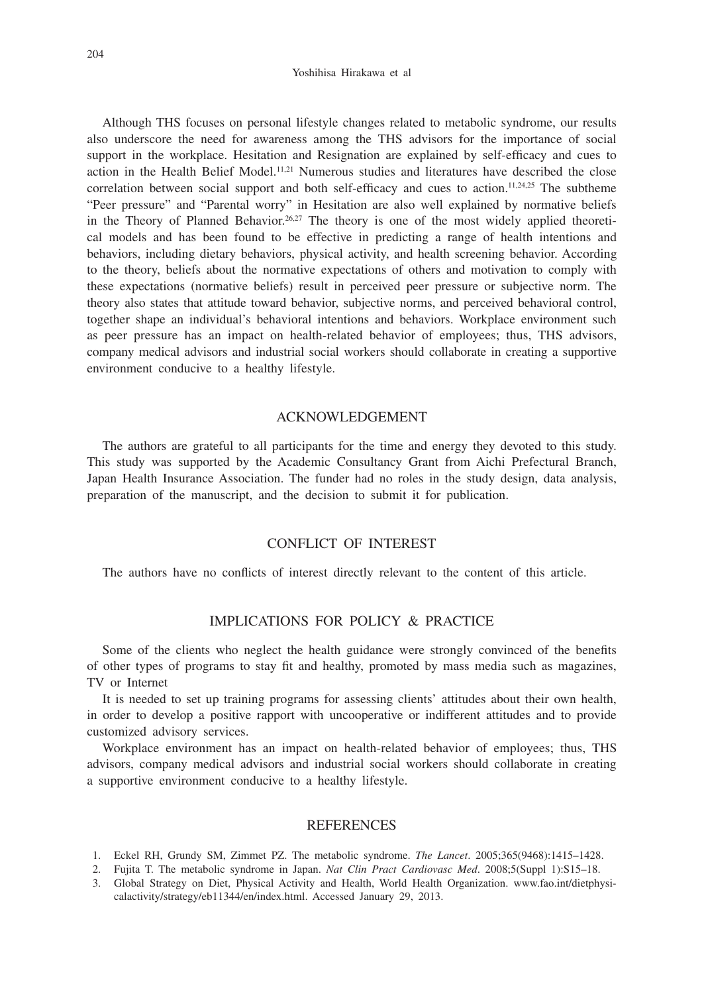#### Yoshihisa Hirakawa et al

Although THS focuses on personal lifestyle changes related to metabolic syndrome, our results also underscore the need for awareness among the THS advisors for the importance of social support in the workplace. Hesitation and Resignation are explained by self-efficacy and cues to action in the Health Belief Model.<sup>11,21</sup> Numerous studies and literatures have described the close correlation between social support and both self-efficacy and cues to action.<sup>11,24,25</sup> The subtheme "Peer pressure" and "Parental worry" in Hesitation are also well explained by normative beliefs in the Theory of Planned Behavior.<sup>26,27</sup> The theory is one of the most widely applied theoretical models and has been found to be effective in predicting a range of health intentions and behaviors, including dietary behaviors, physical activity, and health screening behavior. According to the theory, beliefs about the normative expectations of others and motivation to comply with these expectations (normative beliefs) result in perceived peer pressure or subjective norm. The theory also states that attitude toward behavior, subjective norms, and perceived behavioral control, together shape an individual's behavioral intentions and behaviors. Workplace environment such as peer pressure has an impact on health-related behavior of employees; thus, THS advisors, company medical advisors and industrial social workers should collaborate in creating a supportive environment conducive to a healthy lifestyle.

## ACKNOWLEDGEMENT

The authors are grateful to all participants for the time and energy they devoted to this study. This study was supported by the Academic Consultancy Grant from Aichi Prefectural Branch, Japan Health Insurance Association. The funder had no roles in the study design, data analysis, preparation of the manuscript, and the decision to submit it for publication.

## CONFLICT OF INTEREST

The authors have no conflicts of interest directly relevant to the content of this article.

## IMPLICATIONS FOR POLICY & PRACTICE

Some of the clients who neglect the health guidance were strongly convinced of the benefits of other types of programs to stay fit and healthy, promoted by mass media such as magazines, TV or Internet

It is needed to set up training programs for assessing clients' attitudes about their own health, in order to develop a positive rapport with uncooperative or indifferent attitudes and to provide customized advisory services.

Workplace environment has an impact on health-related behavior of employees; thus, THS advisors, company medical advisors and industrial social workers should collaborate in creating a supportive environment conducive to a healthy lifestyle.

#### **REFERENCES**

- 1. Eckel RH, Grundy SM, Zimmet PZ. The metabolic syndrome. *The Lancet*. 2005;365(9468):1415–1428.
- 2. Fujita T. The metabolic syndrome in Japan. *Nat Clin Pract Cardiovasc Med*. 2008;5(Suppl 1):S15–18.
- 3. Global Strategy on Diet, Physical Activity and Health, World Health Organization. www.fao.int/dietphysicalactivity/strategy/eb11344/en/index.html. Accessed January 29, 2013.